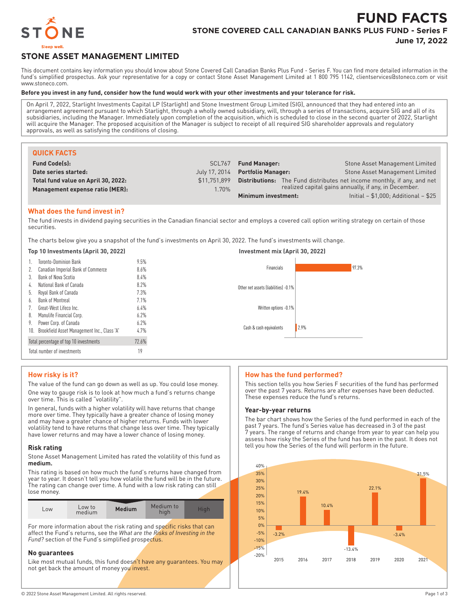

# **FUND FACTS STONE COVERED CALL CANADIAN BANKS PLUS FUND - Series F**

**June 17, 2022**

# **STONE ASSET MANAGEMENT LIMITED**

This document contains key information you should know about Stone Covered Call Canadian Banks Plus Fund - Series F. You can find more detailed information in the fund's simplified prospectus. Ask your representative for a copy or contact Stone Asset Management Limited at 1 800 795 1142, clientservices@stoneco.com or visit www.stoneco.com.

#### **Before you invest in any fund, consider how the fund would work with your other investments and your tolerance for risk.**

On April 7, 2022, Starlight Investments Capital LP (Starlight) and Stone Investment Group Limited (SIG), announced that they had entered into an arrangement agreement pursuant to which Starlight, through a wholly owned subsidiary, will, through a series of transactions, acquire SIG and all of its subsidiaries, including the Manager. Immediately upon completion of the acquisition, which is scheduled to close in the second quarter of 2022, Starlight will acquire the Manager. The proposed acquisition of the Manager is subject to receipt of all required SIG shareholder approvals and regulatory approvals, as well as satisfying the conditions of closing.

| <b>QUICK FACTS</b>                  |              |                                                                |                                                                                |
|-------------------------------------|--------------|----------------------------------------------------------------|--------------------------------------------------------------------------------|
| <b>Fund Code(s):</b>                | SCL767       | <b>Fund Manager:</b>                                           | Stone Asset Management Limited                                                 |
| Date series started:                |              | July 17, 2014 Portfolio Manager:                               | Stone Asset Management Limited                                                 |
| Total fund value on April 30, 2022: | \$11.751.899 |                                                                | <b>Distributions:</b> The Fund distributes net income monthly, if any, and net |
| Management expense ratio (MER):     | 1.70%        | realized capital gains annually, if any, in December.          |                                                                                |
|                                     |              | Initial $- $1,000$ ; Additional $- $25$<br>Minimum investment: |                                                                                |

### **What does the fund invest in?**

The fund invests in dividend paying securities in the Canadian financial sector and employs a covered call option writing strategy on certain of those securities.

The charts below give you a snapshot of the fund's investments on April 30, 2022. The fund's investments will change.

#### **Top 10 Investments (April 30, 2022) Investment mix (April 30, 2022)** 1. Toronto-Dominion Bank 9.5% 2. Canadian Imperial Bank of Commerce 8.6% 3. Bank of Nova Scotia 8.4% 4. National Bank of Canada 8.2% 5. Royal Bank of Canada 7.3% 6. Bank of Montreal 7.1% 7 Great-West Lifeco Inc. 6.4% 8. Manulife Financial Corp. 6.2% 9. Power Corp. of Canada 6.2% 10. Brookfield Asset Management Inc., Class 'A' 4.7% Total percentage of top 10 investments 72.6% Total number of investments 19 97.3% Other net assets (liabilities) -0.1% Written options -0.1% 2.9% Financials Cash & cash equivalents

# **How risky is it?**

The value of the fund can go down as well as up. You could lose money. One way to gauge risk is to look at how much a fund's returns change over time. This is called "volatility".

In general, funds with a higher volatility will have returns that change more over time. They typically have a greater chance of losing money and may have a greater chance of higher returns. Funds with lower volatility tend to have returns that change less over time. They typically have lower returns and may have a lower chance of losing money.

#### **Risk rating**

Stone Asset Management Limited has rated the volatility of this fund as **medium.**

This rating is based on how much the fund's returns have changed from year to year. It doesn't tell you how volatile the fund will be in the future. The rating can change over time. A fund with a low risk rating can still lose money.

| $-0W$ | ∟ow to<br>medium | <b>Medium</b> | Medium to |  |
|-------|------------------|---------------|-----------|--|

For more information about the risk rating and specific risks that can affect the Fund's returns, see the *What are the Risks of Investing in the Fund?* section of the Fund's simplified prospectus.

#### **No guarantees**

Like most mutual funds, this fund doesn't have any quarantees. You may not get back the amount of money you invest.

# **How has the fund performed?**

This section tells you how Series F securities of the fund has performed over the past 7 years. Returns are after expenses have been deducted. These expenses reduce the fund's returns.

#### **Year-by-year returns**

The bar chart shows how the Series of the fund performed in each of the past 7 years. The fund's Series value has decreased in 3 of the past 7 years. The range of returns and change from year to year can help you assess how risky the Series of the fund has been in the past. It does not tell you how the Series of the fund will perform in the future.

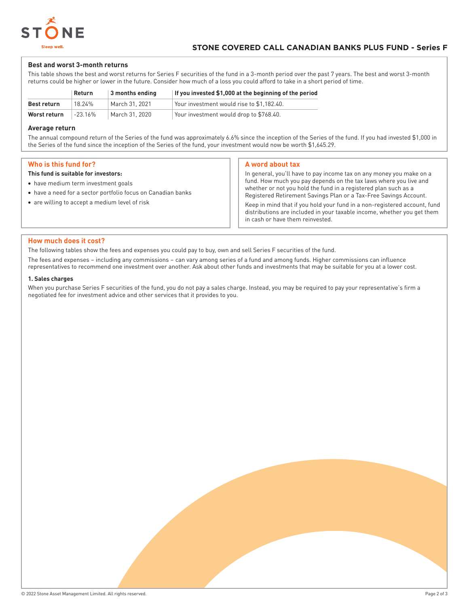

#### **Best and worst 3-month returns**

This table shows the best and worst returns for Series F securities of the fund in a 3-month period over the past 7 years. The best and worst 3-month returns could be higher or lower in the future. Consider how much of a loss you could afford to take in a short period of time.

|              | Return     | 3 months ending | If you invested \$1,000 at the beginning of the period |
|--------------|------------|-----------------|--------------------------------------------------------|
| Best return  | 18 24%     | March 31, 2021  | Your investment would rise to \$1.182.40.              |
| Worst return | $-23.16\%$ | March 31, 2020  | Your investment would drop to \$768.40.                |

#### **Average return**

The annual compound return of the Series of the fund was approximately 6.6% since the inception of the Series of the fund. If you had invested \$1,000 in the Series of the fund since the inception of the Series of the fund, your investment would now be worth \$1,645.29.

### **Who is this fund for?**

#### **This fund is suitable for investors:**

- have medium term investment goals
- have a need for a sector portfolio focus on Canadian banks
- are willing to accept a medium level of risk

#### **A word about tax**

In general, you'll have to pay income tax on any money you make on a fund. How much you pay depends on the tax laws where you live and whether or not you hold the fund in a registered plan such as a Registered Retirement Savings Plan or a Tax-Free Savings Account.

Keep in mind that if you hold your fund in a non-registered account, fund distributions are included in your taxable income, whether you get them in cash or have them reinvested.

#### **How much does it cost?**

The following tables show the fees and expenses you could pay to buy, own and sell Series F securities of the fund.

The fees and expenses – including any commissions – can vary among series of a fund and among funds. Higher commissions can influence representatives to recommend one investment over another. Ask about other funds and investments that may be suitable for you at a lower cost.

#### **1. Sales charges**

When you purchase Series F securities of the fund, you do not pay a sales charge. Instead, you may be required to pay your representative's firm a negotiated fee for investment advice and other services that it provides to you.